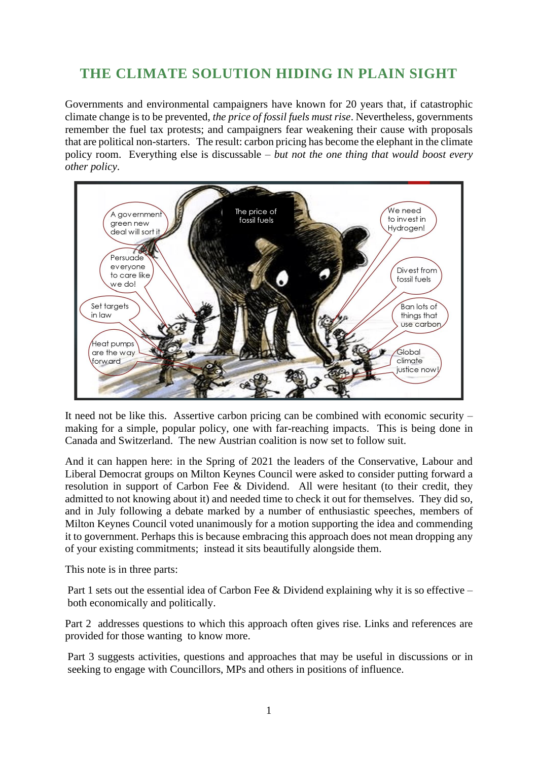# **THE CLIMATE SOLUTION HIDING IN PLAIN SIGHT**

Governments and environmental campaigners have known for 20 years that, if catastrophic climate change is to be prevented, *the price of fossil fuels must rise*. Nevertheless, governments remember the fuel tax protests; and campaigners fear weakening their cause with proposals that are political non-starters. The result: carbon pricing has become the elephant in the climate policy room. Everything else is discussable – *but not the one thing that would boost every other policy*.



It need not be like this. Assertive carbon pricing can be combined with economic security – making for a simple, popular policy, one with far-reaching impacts. This is being done in Canada and Switzerland. The new Austrian coalition is now set to follow suit.

And it can happen here: in the Spring of 2021 the leaders of the Conservative, Labour and Liberal Democrat groups on Milton Keynes Council were asked to consider putting forward a resolution in support of Carbon Fee & Dividend. All were hesitant (to their credit, they admitted to not knowing about it) and needed time to check it out for themselves. They did so, and in July following a debate marked by a number of enthusiastic speeches, members of Milton Keynes Council voted unanimously for a motion supporting the idea and commending it to government. Perhaps this is because embracing this approach does not mean dropping any of your existing commitments; instead it sits beautifully alongside them.

This note is in three parts:

Part 1 sets out the essential idea of Carbon Fee & Dividend explaining why it is so effective – both economically and politically.

Part 2 addresses questions to which this approach often gives rise. Links and references are provided for those wanting to know more.

Part 3 suggests activities, questions and approaches that may be useful in discussions or in seeking to engage with Councillors, MPs and others in positions of influence.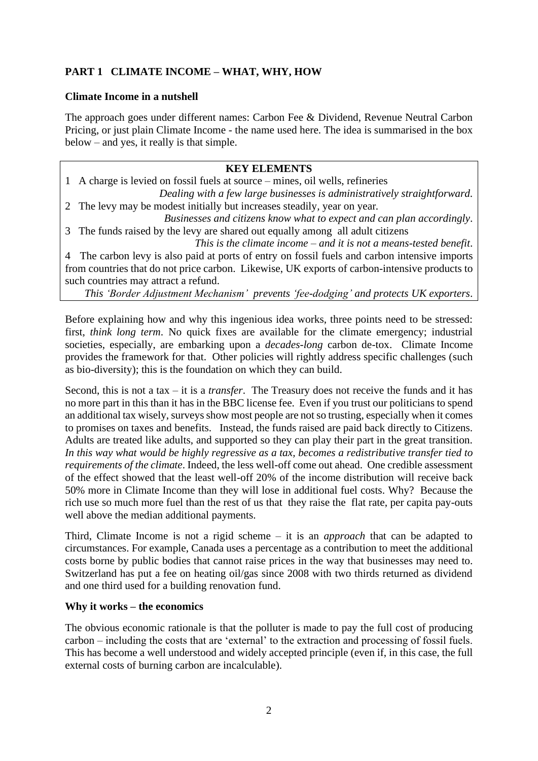# **PART 1 CLIMATE INCOME – WHAT, WHY, HOW**

#### **Climate Income in a nutshell**

The approach goes under different names: Carbon Fee & Dividend, Revenue Neutral Carbon Pricing, or just plain Climate Income - the name used here. The idea is summarised in the box below – and yes, it really is that simple.

## **KEY ELEMENTS**

1 A charge is levied on fossil fuels at source – mines, oil wells, refineries *Dealing with a few large businesses is administratively straightforward.* 2 The levy may be modest initially but increases steadily*,* year on year*.*

*Businesses and citizens know what to expect and can plan accordingly*. 3 The funds raised by the levy are shared out equally among all adult citizens

*This is the climate income – and it is not a means-tested benefit*. 4 The carbon levy is also paid at ports of entry on fossil fuels and carbon intensive imports from countries that do not price carbon. Likewise, UK exports of carbon-intensive products to

such countries may attract a refund. *This 'Border Adjustment Mechanism' prevents 'fee-dodging' and protects UK exporters*.

Before explaining how and why this ingenious idea works, three points need to be stressed: first, *think long term*. No quick fixes are available for the climate emergency; industrial societies, especially, are embarking upon a *decades-long* carbon de-tox. Climate Income provides the framework for that. Other policies will rightly address specific challenges (such as bio-diversity); this is the foundation on which they can build.

Second, this is not a tax – it is a *transfer*. The Treasury does not receive the funds and it has no more part in this than it has in the BBC license fee. Even if you trust our politicians to spend an additional tax wisely, surveys show most people are not so trusting, especially when it comes to promises on taxes and benefits. Instead, the funds raised are paid back directly to Citizens. Adults are treated like adults, and supported so they can play their part in the great transition. *In this way what would be highly regressive as a tax, becomes a redistributive transfer tied to requirements of the climate*. Indeed, the less well-off come out ahead. One credible assessment of the effect showed that the least well-off 20% of the income distribution will receive back 50% more in Climate Income than they will lose in additional fuel costs. Why? Because the rich use so much more fuel than the rest of us that they raise the flat rate, per capita pay-outs well above the median additional payments.

Third, Climate Income is not a rigid scheme – it is an *approach* that can be adapted to circumstances. For example, Canada uses a percentage as a contribution to meet the additional costs borne by public bodies that cannot raise prices in the way that businesses may need to. Switzerland has put a fee on heating oil/gas since 2008 with two thirds returned as dividend and one third used for a building renovation fund.

#### **Why it works – the economics**

The obvious economic rationale is that the polluter is made to pay the full cost of producing carbon – including the costs that are 'external' to the extraction and processing of fossil fuels. This has become a well understood and widely accepted principle (even if, in this case, the full external costs of burning carbon are incalculable).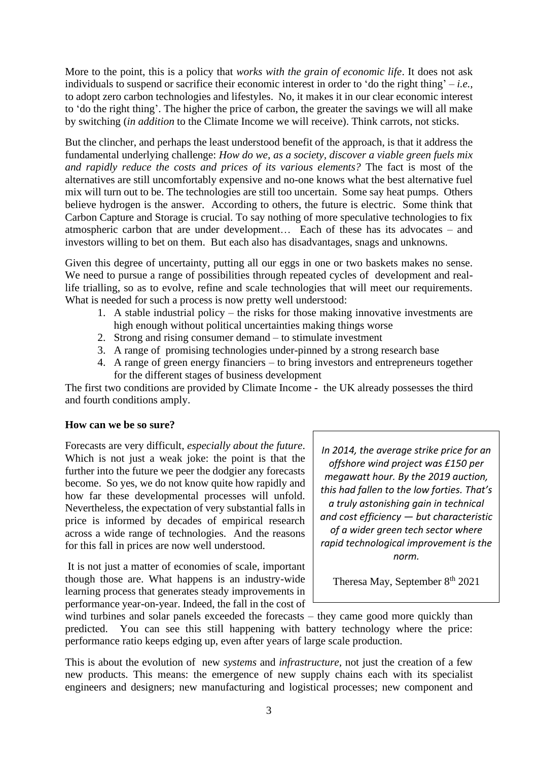More to the point, this is a policy that *works with the grain of economic life*. It does not ask individuals to suspend or sacrifice their economic interest in order to 'do the right thing' – *i.e.,* to adopt zero carbon technologies and lifestyles. No, it makes it in our clear economic interest to 'do the right thing'. The higher the price of carbon, the greater the savings we will all make by switching (*in addition* to the Climate Income we will receive). Think carrots, not sticks.

But the clincher, and perhaps the least understood benefit of the approach, is that it address the fundamental underlying challenge: *How do we, as a society, discover a viable green fuels mix and rapidly reduce the costs and prices of its various elements?* The fact is most of the alternatives are still uncomfortably expensive and no-one knows what the best alternative fuel mix will turn out to be. The technologies are still too uncertain. Some say heat pumps. Others believe hydrogen is the answer. According to others, the future is electric. Some think that Carbon Capture and Storage is crucial. To say nothing of more speculative technologies to fix atmospheric carbon that are under development… Each of these has its advocates – and investors willing to bet on them. But each also has disadvantages, snags and unknowns.

Given this degree of uncertainty, putting all our eggs in one or two baskets makes no sense. We need to pursue a range of possibilities through repeated cycles of development and reallife trialling, so as to evolve, refine and scale technologies that will meet our requirements. What is needed for such a process is now pretty well understood:

- 1. A stable industrial policy the risks for those making innovative investments are high enough without political uncertainties making things worse
- 2. Strong and rising consumer demand to stimulate investment
- 3. A range of promising technologies under-pinned by a strong research base
- 4. A range of green energy financiers to bring investors and entrepreneurs together for the different stages of business development

The first two conditions are provided by Climate Income - the UK already possesses the third and fourth conditions amply.

#### **How can we be so sure?**

Forecasts are very difficult, *especially about the future*. Which is not just a weak joke: the point is that the further into the future we peer the dodgier any forecasts become. So yes, we do not know quite how rapidly and how far these developmental processes will unfold. Nevertheless, the expectation of very substantial falls in price is informed by decades of empirical research across a wide range of technologies. And the reasons for this fall in prices are now well understood.

It is not just a matter of economies of scale, important though those are. What happens is an industry-wide learning process that generates steady improvements in performance year-on-year. Indeed, the fall in the cost of

*In 2014, the average strike price for an offshore wind project was £150 per megawatt hour. By the 2019 auction, this had fallen to the low forties. That's a truly astonishing gain in technical and cost efficiency — but characteristic of a wider green tech sector where rapid technological improvement is the norm.*

Theresa May, September  $8<sup>th</sup> 2021$ 

wind turbines and solar panels exceeded the forecasts – they came good more quickly than predicted. You can see this still happening with battery technology where the price: performance ratio keeps edging up, even after years of large scale production.

This is about the evolution of new *systems* and *infrastructure,* not just the creation of a few new products. This means: the emergence of new supply chains each with its specialist engineers and designers; new manufacturing and logistical processes; new component and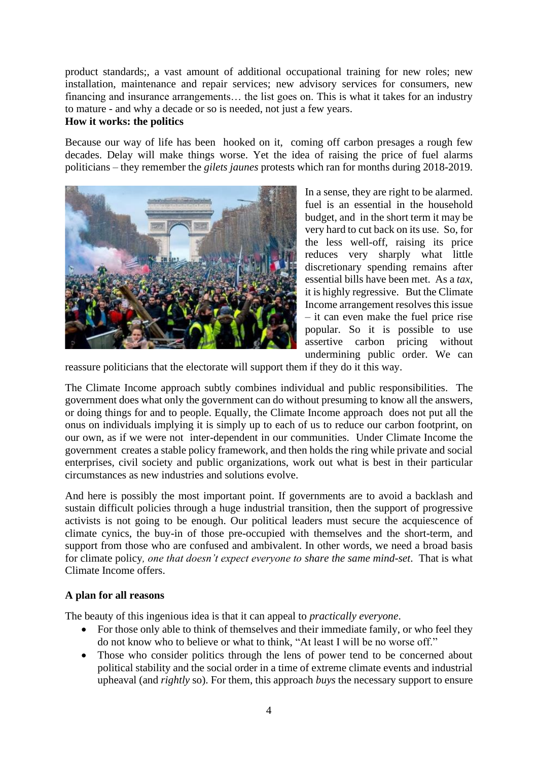product standards;, a vast amount of additional occupational training for new roles; new installation, maintenance and repair services; new advisory services for consumers, new financing and insurance arrangements… the list goes on. This is what it takes for an industry to mature - and why a decade or so is needed, not just a few years.

#### **How it works: the politics**

Because our way of life has been hooked on it, coming off carbon presages a rough few decades. Delay will make things worse. Yet the idea of raising the price of fuel alarms politicians – they remember the *gilets jaunes* protests which ran for months during 2018-2019.



In a sense, they are right to be alarmed. fuel is an essential in the household budget, and in the short term it may be very hard to cut back on its use. So, for the less well-off, raising its price reduces very sharply what little discretionary spending remains after essential bills have been met. As a *tax*, it is highly regressive. But the Climate Income arrangement resolves this issue – it can even make the fuel price rise popular. So it is possible to use assertive carbon pricing without undermining public order. We can

reassure politicians that the electorate will support them if they do it this way.

The Climate Income approach subtly combines individual and public responsibilities. The government does what only the government can do without presuming to know all the answers, or doing things for and to people. Equally, the Climate Income approach does not put all the onus on individuals implying it is simply up to each of us to reduce our carbon footprint, on our own, as if we were not inter-dependent in our communities. Under Climate Income the government creates a stable policy framework, and then holds the ring while private and social enterprises, civil society and public organizations, work out what is best in their particular circumstances as new industries and solutions evolve.

And here is possibly the most important point. If governments are to avoid a backlash and sustain difficult policies through a huge industrial transition, then the support of progressive activists is not going to be enough. Our political leaders must secure the acquiescence of climate cynics, the buy-in of those pre-occupied with themselves and the short-term, and support from those who are confused and ambivalent. In other words, we need a broad basis for climate policy*, one that doesn't expect everyone to share the same mind-set*. That is what Climate Income offers.

#### **A plan for all reasons**

The beauty of this ingenious idea is that it can appeal to *practically everyone*.

- For those only able to think of themselves and their immediate family, or who feel they do not know who to believe or what to think, "At least I will be no worse off."
- Those who consider politics through the lens of power tend to be concerned about political stability and the social order in a time of extreme climate events and industrial upheaval (and *rightly* so). For them, this approach *buys* the necessary support to ensure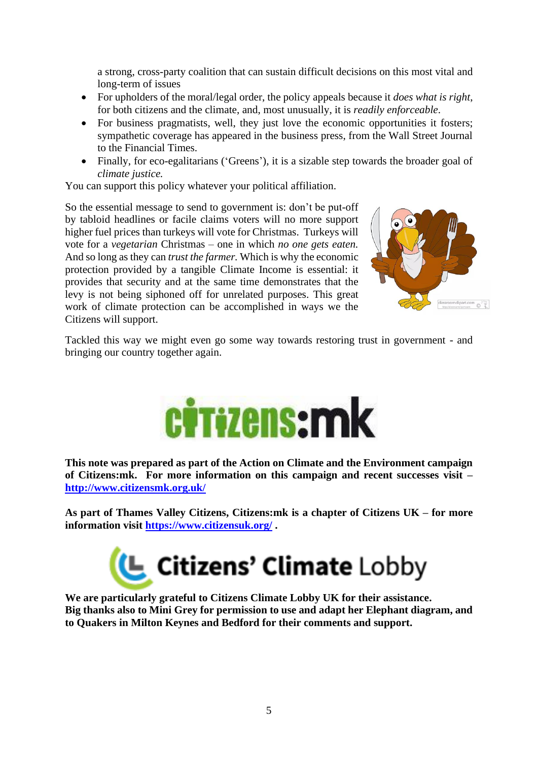a strong, cross-party coalition that can sustain difficult decisions on this most vital and long-term of issues

- For upholders of the moral/legal order, the policy appeals because it *does what is right*, for both citizens and the climate, and, most unusually, it is *readily enforceable*.
- For business pragmatists, well, they just love the economic opportunities it fosters; sympathetic coverage has appeared in the business press, from the Wall Street Journal to the Financial Times.
- Finally, for eco-egalitarians ('Greens'), it is a sizable step towards the broader goal of *climate justice.*

You can support this policy whatever your political affiliation.

So the essential message to send to government is: don't be put-off by tabloid headlines or facile claims voters will no more support higher fuel prices than turkeys will vote for Christmas. Turkeys will vote for a *vegetarian* Christmas – one in which *no one gets eaten.*  And so long as they can *trust the farmer.* Which is why the economic protection provided by a tangible Climate Income is essential: it provides that security and at the same time demonstrates that the levy is not being siphoned off for unrelated purposes. This great work of climate protection can be accomplished in ways we the Citizens will support.



Tackled this way we might even go some way towards restoring trust in government - and bringing our country together again.



**This note was prepared as part of the Action on Climate and the Environment campaign of Citizens:mk. For more information on this campaign and recent successes visit – <http://www.citizensmk.org.uk/>**

**As part of Thames Valley Citizens, Citizens:mk is a chapter of Citizens UK – for more information visit<https://www.citizensuk.org/> .** 



**We are particularly grateful to Citizens Climate Lobby UK for their assistance. Big thanks also to Mini Grey for permission to use and adapt her Elephant diagram, and to Quakers in Milton Keynes and Bedford for their comments and support.**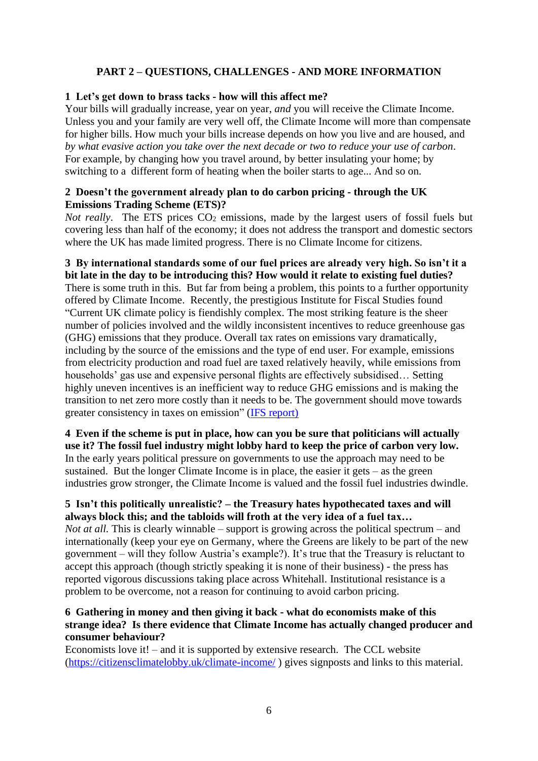## **PART 2 – QUESTIONS, CHALLENGES - AND MORE INFORMATION**

#### **1 Let's get down to brass tacks - how will this affect me?**

Your bills will gradually increase, year on year, *and* you will receive the Climate Income. Unless you and your family are very well off, the Climate Income will more than compensate for higher bills. How much your bills increase depends on how you live and are housed, and *by what evasive action you take over the next decade or two to reduce your use of carbon*. For example, by changing how you travel around, by better insulating your home; by switching to a different form of heating when the boiler starts to age... And so on.

#### **2 Doesn't the government already plan to do carbon pricing - through the UK Emissions Trading Scheme (ETS)?**

*Not really*. The ETS prices CO<sub>2</sub> emissions, made by the largest users of fossil fuels but covering less than half of the economy; it does not address the transport and domestic sectors where the UK has made limited progress. There is no Climate Income for citizens.

**3 By international standards some of our fuel prices are already very high. So isn't it a bit late in the day to be introducing this? How would it relate to existing fuel duties?** There is some truth in this. But far from being a problem, this points to a further opportunity offered by Climate Income. Recently, the prestigious Institute for Fiscal Studies found "Current UK climate policy is fiendishly complex. The most striking feature is the sheer number of policies involved and the wildly inconsistent incentives to reduce greenhouse gas (GHG) emissions that they produce. Overall tax rates on emissions vary dramatically, including by the source of the emissions and the type of end user. For example, emissions from electricity production and road fuel are taxed relatively heavily, while emissions from households' gas use and expensive personal flights are effectively subsidised… Setting highly uneven incentives is an inefficient way to reduce GHG emissions and is making the transition to net zero more costly than it needs to be. The government should move towards greater consistency in taxes on emission" [\(IFS report\)](https://ifs.org.uk/publications/15654)

**4 Even if the scheme is put in place, how can you be sure that politicians will actually use it? The fossil fuel industry might lobby hard to keep the price of carbon very low.** In the early years political pressure on governments to use the approach may need to be sustained. But the longer Climate Income is in place, the easier it gets – as the green industries grow stronger, the Climate Income is valued and the fossil fuel industries dwindle.

#### **5 Isn't this politically unrealistic? – the Treasury hates hypothecated taxes and will always block this; and the tabloids will froth at the very idea of a fuel tax…**

*Not at all.* This is clearly winnable – support is growing across the political spectrum – and internationally (keep your eye on Germany, where the Greens are likely to be part of the new government – will they follow Austria's example?). It's true that the Treasury is reluctant to accept this approach (though strictly speaking it is none of their business) - the press has reported vigorous discussions taking place across Whitehall. Institutional resistance is a problem to be overcome, not a reason for continuing to avoid carbon pricing.

## **6 Gathering in money and then giving it back - what do economists make of this strange idea? Is there evidence that Climate Income has actually changed producer and consumer behaviour?**

Economists love it! – and it is supported by extensive research. The CCL website [\(https://citizensclimatelobby.uk/climate-income/](https://citizensclimatelobby.uk/climate-income/) ) gives signposts and links to this material.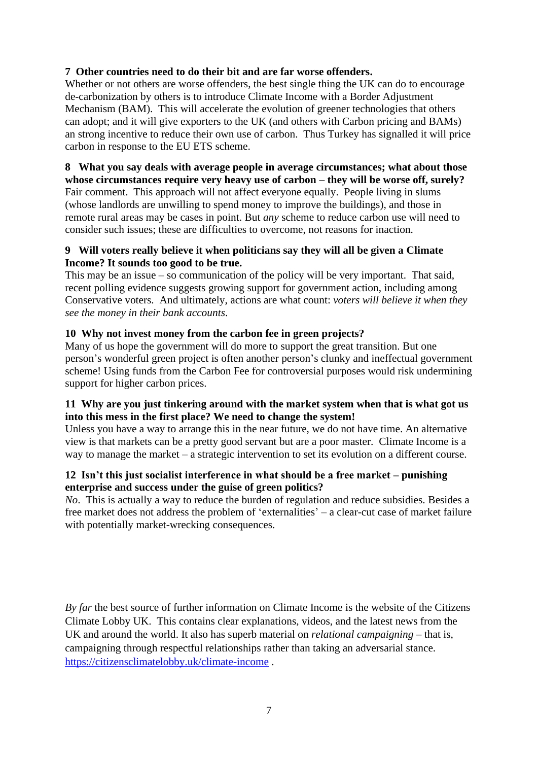## **7 Other countries need to do their bit and are far worse offenders.**

Whether or not others are worse offenders, the best single thing the UK can do to encourage de-carbonization by others is to introduce Climate Income with a Border Adjustment Mechanism (BAM). This will accelerate the evolution of greener technologies that others can adopt; and it will give exporters to the UK (and others with Carbon pricing and BAMs) an strong incentive to reduce their own use of carbon. Thus Turkey has signalled it will price carbon in response to the EU ETS scheme.

#### **8 What you say deals with average people in average circumstances; what about those whose circumstances require very heavy use of carbon – they will be worse off, surely?** Fair comment. This approach will not affect everyone equally. People living in slums (whose landlords are unwilling to spend money to improve the buildings), and those in remote rural areas may be cases in point. But *any* scheme to reduce carbon use will need to consider such issues; these are difficulties to overcome, not reasons for inaction.

## **9 Will voters really believe it when politicians say they will all be given a Climate Income? It sounds too good to be true.**

This may be an issue – so communication of the policy will be very important. That said, recent polling evidence suggests growing support for government action, including among Conservative voters. And ultimately, actions are what count: *voters will believe it when they see the money in their bank accounts*.

## **10 Why not invest money from the carbon fee in green projects?**

Many of us hope the government will do more to support the great transition. But one person's wonderful green project is often another person's clunky and ineffectual government scheme! Using funds from the Carbon Fee for controversial purposes would risk undermining support for higher carbon prices.

## **11 Why are you just tinkering around with the market system when that is what got us into this mess in the first place? We need to change the system!**

Unless you have a way to arrange this in the near future, we do not have time. An alternative view is that markets can be a pretty good servant but are a poor master. Climate Income is a way to manage the market – a strategic intervention to set its evolution on a different course.

## **12 Isn't this just socialist interference in what should be a free market – punishing enterprise and success under the guise of green politics?**

*No*. This is actually a way to reduce the burden of regulation and reduce subsidies. Besides a free market does not address the problem of 'externalities' – a clear-cut case of market failure with potentially market-wrecking consequences.

*By far* the best source of further information on Climate Income is the website of the Citizens Climate Lobby UK. This contains clear explanations, videos, and the latest news from the UK and around the world. It also has superb material on *relational campaigning* – that is, campaigning through respectful relationships rather than taking an adversarial stance. <https://citizensclimatelobby.uk/climate-income> .